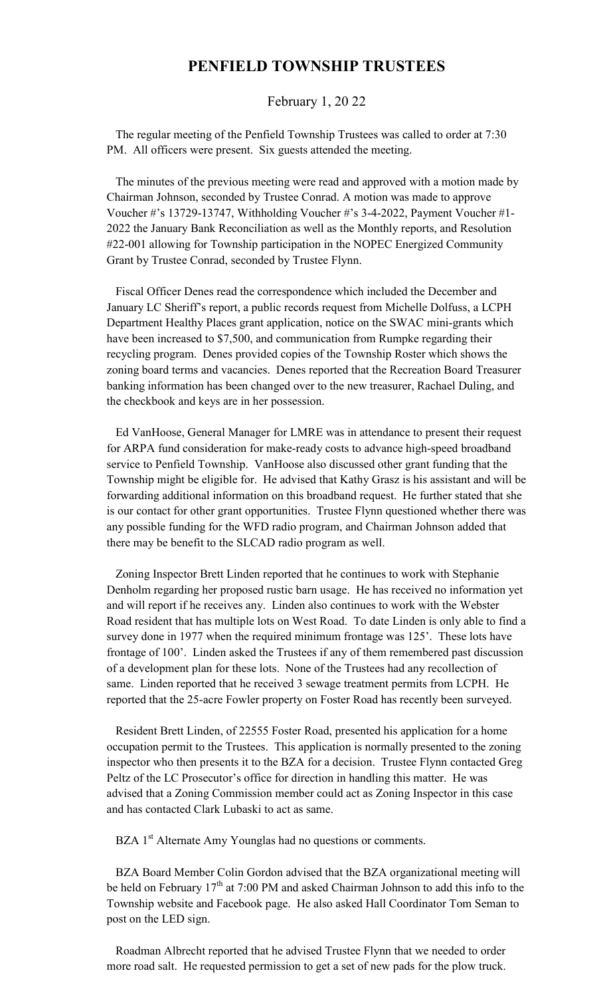## **PENFIELD TOWNSHIP TRUSTEES**

## February 1, 20 22

 The regular meeting of the Penfield Township Trustees was called to order at 7:30 PM. All officers were present. Six guests attended the meeting.

 The minutes of the previous meeting were read and approved with a motion made by Chairman Johnson, seconded by Trustee Conrad. A motion was made to approve Voucher #'s 13729-13747, Withholding Voucher #'s 3-4-2022, Payment Voucher #1- 2022 the January Bank Reconciliation as well as the Monthly reports, and Resolution #22-001 allowing for Township participation in the NOPEC Energized Community Grant by Trustee Conrad, seconded by Trustee Flynn.

 Fiscal Officer Denes read the correspondence which included the December and January LC Sheriff's report, a public records request from Michelle Dolfuss, a LCPH Department Healthy Places grant application, notice on the SWAC mini-grants which have been increased to \$7,500, and communication from Rumpke regarding their recycling program. Denes provided copies of the Township Roster which shows the zoning board terms and vacancies. Denes reported that the Recreation Board Treasurer banking information has been changed over to the new treasurer, Rachael Duling, and the checkbook and keys are in her possession.

 Ed VanHoose, General Manager for LMRE was in attendance to present their request for ARPA fund consideration for make-ready costs to advance high-speed broadband service to Penfield Township. VanHoose also discussed other grant funding that the Township might be eligible for. He advised that Kathy Grasz is his assistant and will be forwarding additional information on this broadband request. He further stated that she is our contact for other grant opportunities. Trustee Flynn questioned whether there was any possible funding for the WFD radio program, and Chairman Johnson added that there may be benefit to the SLCAD radio program as well.

 Zoning Inspector Brett Linden reported that he continues to work with Stephanie Denholm regarding her proposed rustic barn usage. He has received no information yet and will report if he receives any. Linden also continues to work with the Webster Road resident that has multiple lots on West Road. To date Linden is only able to find a survey done in 1977 when the required minimum frontage was 125'. These lots have frontage of 100'. Linden asked the Trustees if any of them remembered past discussion of a development plan for these lots. None of the Trustees had any recollection of same. Linden reported that he received 3 sewage treatment permits from LCPH. He reported that the 25-acre Fowler property on Foster Road has recently been surveyed.

 Resident Brett Linden, of 22555 Foster Road, presented his application for a home occupation permit to the Trustees. This application is normally presented to the zoning inspector who then presents it to the BZA for a decision. Trustee Flynn contacted Greg Peltz of the LC Prosecutor's office for direction in handling this matter. He was advised that a Zoning Commission member could act as Zoning Inspector in this case and has contacted Clark Lubaski to act as same.

BZA 1<sup>st</sup> Alternate Amy Younglas had no questions or comments.

 BZA Board Member Colin Gordon advised that the BZA organizational meeting will be held on February  $17<sup>th</sup>$  at 7:00 PM and asked Chairman Johnson to add this info to the Township website and Facebook page. He also asked Hall Coordinator Tom Seman to post on the LED sign.

 Roadman Albrecht reported that he advised Trustee Flynn that we needed to order more road salt. He requested permission to get a set of new pads for the plow truck.